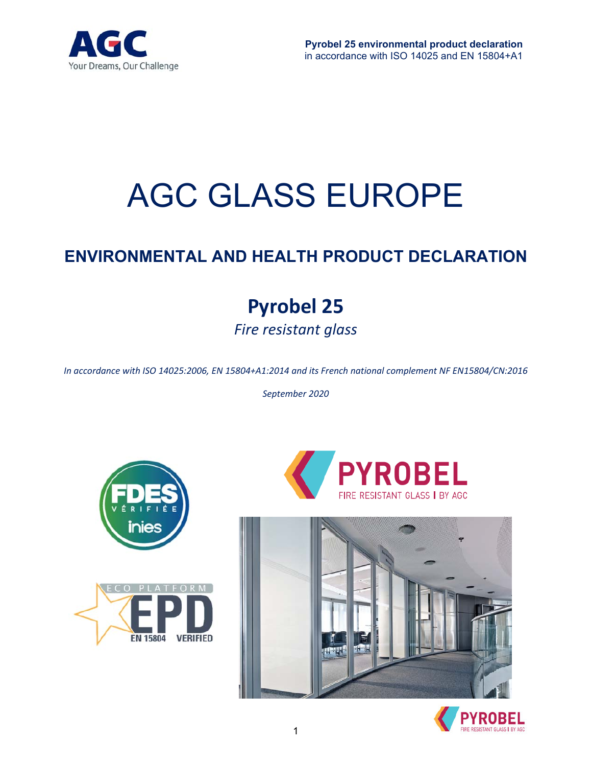

# AGC GLASS EUROPE

## **ENVIRONMENTAL AND HEALTH PRODUCT DECLARATION**

# **Pyrobel 25**  *Fire resistant glass*

*In accordance with ISO 14025:2006, EN 15804+A1:2014 and its French national complement NF EN15804/CN:2016* 

*September 2020* 









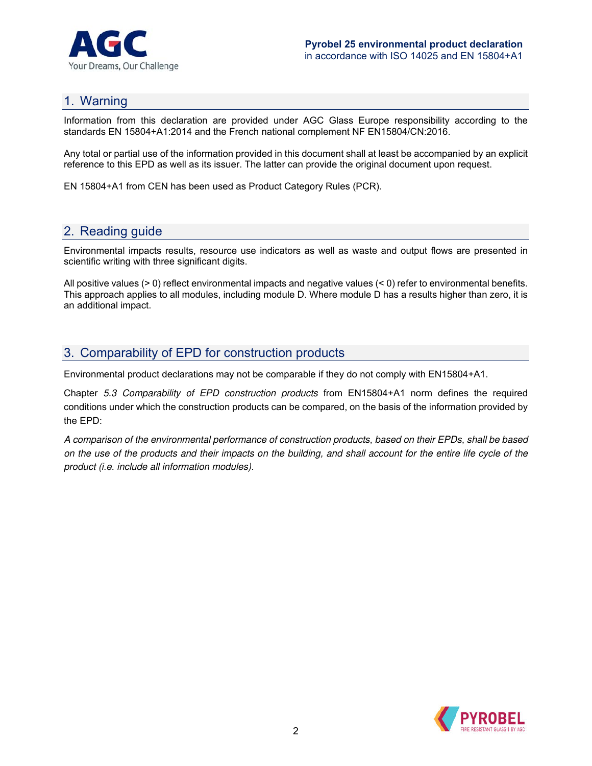

### 1. Warning

Information from this declaration are provided under AGC Glass Europe responsibility according to the standards EN 15804+A1:2014 and the French national complement NF EN15804/CN:2016.

Any total or partial use of the information provided in this document shall at least be accompanied by an explicit reference to this EPD as well as its issuer. The latter can provide the original document upon request.

EN 15804+A1 from CEN has been used as Product Category Rules (PCR).

## 2. Reading guide

Environmental impacts results, resource use indicators as well as waste and output flows are presented in scientific writing with three significant digits.

All positive values (> 0) reflect environmental impacts and negative values (< 0) refer to environmental benefits. This approach applies to all modules, including module D. Where module D has a results higher than zero, it is an additional impact.

## 3. Comparability of EPD for construction products

Environmental product declarations may not be comparable if they do not comply with EN15804+A1.

Chapter 5.3 Comparability of EPD construction products from EN15804+A1 norm defines the required conditions under which the construction products can be compared, on the basis of the information provided by the EPD:

A comparison of the environmental performance of construction products, based on their EPDs, shall be based on the use of the products and their impacts on the building, and shall account for the entire life cycle of the product (i.e. include all information modules).

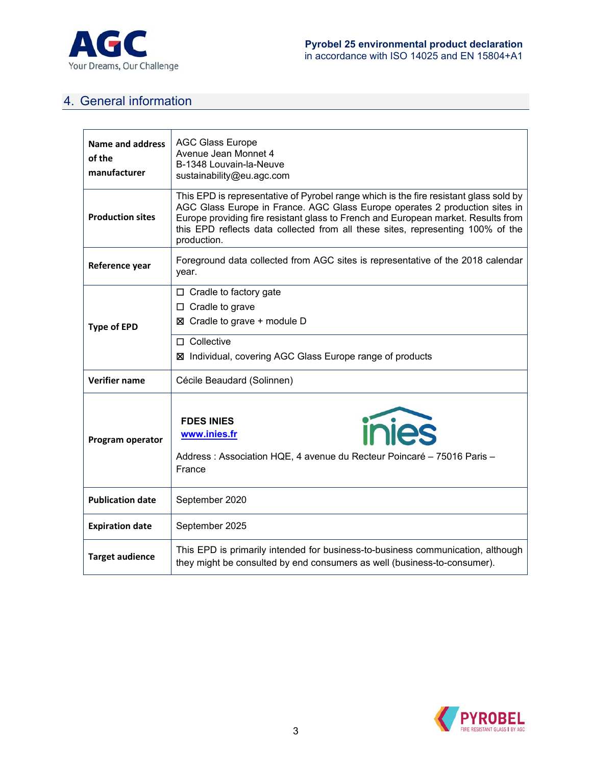

## 4. General information

| Name and address<br>of the<br>manufacturer | <b>AGC Glass Europe</b><br>Avenue Jean Monnet 4<br>B-1348 Louvain-la-Neuve<br>sustainability@eu.agc.com                                                                                                                                                                                                                                                     |
|--------------------------------------------|-------------------------------------------------------------------------------------------------------------------------------------------------------------------------------------------------------------------------------------------------------------------------------------------------------------------------------------------------------------|
| <b>Production sites</b>                    | This EPD is representative of Pyrobel range which is the fire resistant glass sold by<br>AGC Glass Europe in France. AGC Glass Europe operates 2 production sites in<br>Europe providing fire resistant glass to French and European market. Results from<br>this EPD reflects data collected from all these sites, representing 100% of the<br>production. |
| Reference year                             | Foreground data collected from AGC sites is representative of the 2018 calendar<br>year.                                                                                                                                                                                                                                                                    |
| <b>Type of EPD</b>                         | $\Box$ Cradle to factory gate<br>$\Box$ Cradle to grave<br>$\boxtimes$ Cradle to grave + module D<br>$\square$ Collective<br>⊠ Individual, covering AGC Glass Europe range of products                                                                                                                                                                      |
| <b>Verifier name</b>                       | Cécile Beaudard (Solinnen)                                                                                                                                                                                                                                                                                                                                  |
| Program operator                           | inies<br><b>FDES INIES</b><br>www.inies.fr<br>Address : Association HQE, 4 avenue du Recteur Poincaré - 75016 Paris -<br>France                                                                                                                                                                                                                             |
| <b>Publication date</b>                    | September 2020                                                                                                                                                                                                                                                                                                                                              |
| <b>Expiration date</b>                     | September 2025                                                                                                                                                                                                                                                                                                                                              |
| <b>Target audience</b>                     | This EPD is primarily intended for business-to-business communication, although<br>they might be consulted by end consumers as well (business-to-consumer).                                                                                                                                                                                                 |

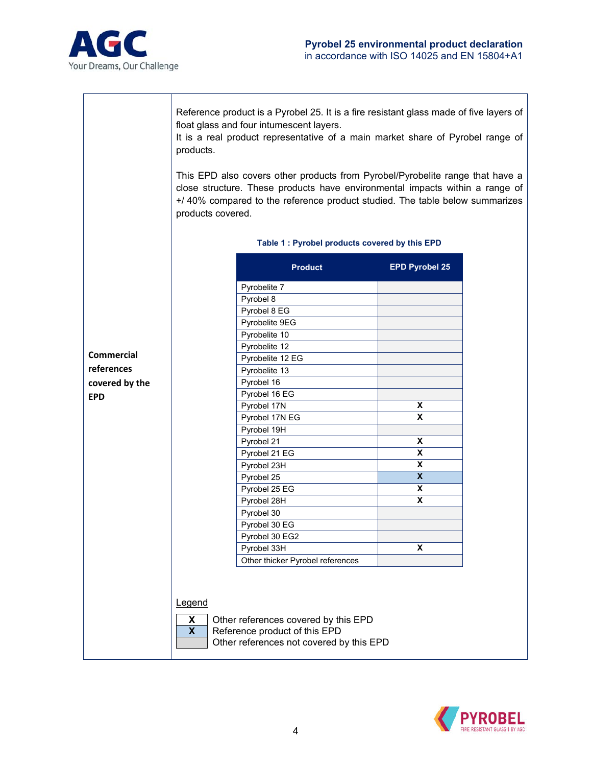

Reference product is a Pyrobel 25. It is a fire resistant glass made of five layers of float glass and four intumescent layers.

It is a real product representative of a main market share of Pyrobel range of products.

This EPD also covers other products from Pyrobel/Pyrobelite range that have a close structure. These products have environmental impacts within a range of +/ 40% compared to the reference product studied. The table below summarizes products covered.

|                   | <b>Product</b>                   | <b>EPD Pyrobel 25</b>     |
|-------------------|----------------------------------|---------------------------|
|                   | Pyrobelite 7                     |                           |
|                   | Pyrobel 8                        |                           |
|                   | Pyrobel 8 EG                     |                           |
|                   | Pyrobelite 9EG                   |                           |
|                   | Pyrobelite 10                    |                           |
|                   | Pyrobelite 12                    |                           |
| <b>Commercial</b> | Pyrobelite 12 EG                 |                           |
| references        | Pyrobelite 13                    |                           |
| covered by the    | Pyrobel 16                       |                           |
| <b>EPD</b>        | Pyrobel 16 EG                    |                           |
|                   | Pyrobel 17N                      | X                         |
|                   | Pyrobel 17N EG                   | $\overline{\mathbf{x}}$   |
|                   | Pyrobel 19H                      |                           |
|                   | Pyrobel 21                       | $\pmb{\mathsf{x}}$        |
|                   | Pyrobel 21 EG                    | X                         |
|                   | Pyrobel 23H                      | X                         |
|                   | Pyrobel 25                       | $\overline{\mathbf{x}}$   |
|                   | Pyrobel 25 EG                    | X                         |
|                   | Pyrobel 28H                      | $\overline{\mathbf{x}}$   |
|                   | Pyrobel 30                       |                           |
|                   | Pyrobel 30 EG                    |                           |
|                   | Pyrobel 30 EG2                   |                           |
|                   | Pyrobel 33H                      | $\boldsymbol{\mathsf{x}}$ |
|                   | Other thicker Pyrobel references |                           |

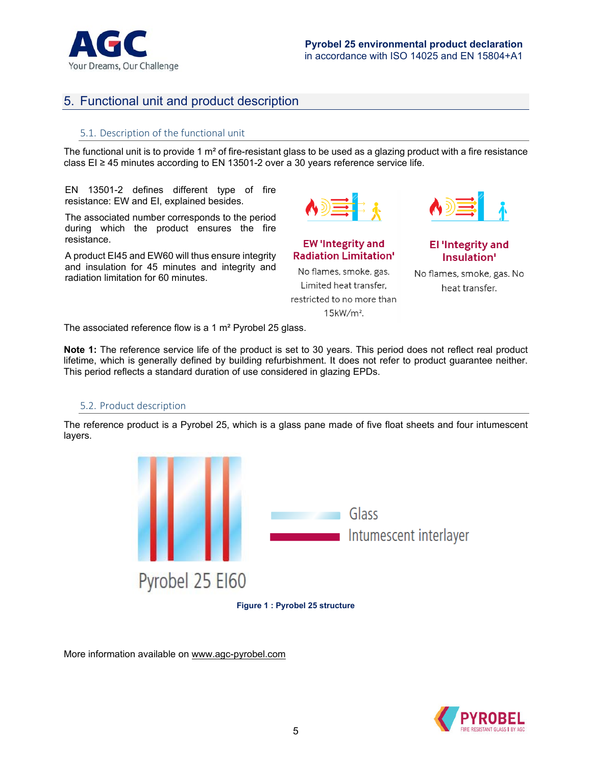

## 5. Functional unit and product description

#### 5.1. Description of the functional unit

The functional unit is to provide 1  $m<sup>2</sup>$  of fire-resistant glass to be used as a glazing product with a fire resistance class EI  $\geq$  45 minutes according to EN 13501-2 over a 30 years reference service life.

EN 13501-2 defines different type of fire resistance: EW and EI, explained besides.

The associated number corresponds to the period during which the product ensures the fire resistance.

A product EI45 and EW60 will thus ensure integrity and insulation for 45 minutes and integrity and radiation limitation for 60 minutes.

**EW 'Integrity and Radiation Limitation'** No flames, smoke, gas. Limited heat transfer,

restricted to no more than 15kW/m<sup>2</sup>.



**El 'Integrity and** Insulation'

No flames, smoke, gas. No heat transfer.

The associated reference flow is a 1 m² Pyrobel 25 glass.

**Note 1:** The reference service life of the product is set to 30 years. This period does not reflect real product lifetime, which is generally defined by building refurbishment. It does not refer to product guarantee neither. This period reflects a standard duration of use considered in glazing EPDs.

#### 5.2. Product description

The reference product is a Pyrobel 25, which is a glass pane made of five float sheets and four intumescent layers.



**Figure 1 : Pyrobel 25 structure** 

More information available on www.agc-pyrobel.com

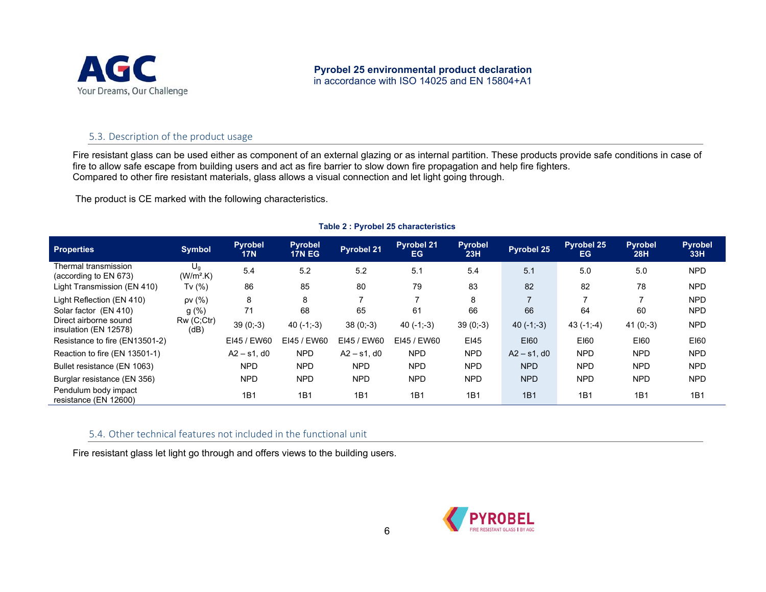

#### 5.3. Description of the product usage

Fire resistant glass can be used either as component of an external glazing or as internal partition. These products provide safe conditions in case of fire to allow safe escape from building users and act as fire barrier to slow down fire propagation and help fire fighters. Compared to other fire resistant materials, glass allows a visual connection and let light going through.

The product is CE marked with the following characteristics.

| <b>Properties</b>                              | <b>Symbol</b>        | <b>Pyrobel</b><br><b>17N</b> | <b>Pyrobel</b><br><b>17N EG</b> | <b>Pyrobel 21</b> | <b>Pyrobel 21</b><br>EG. | <b>Pyrobel</b><br>23H | Pyrobel 25     | Pyrobel 25<br>EG | <b>Pyrobel</b><br>28H | <b>Pyrobel</b><br>33H |
|------------------------------------------------|----------------------|------------------------------|---------------------------------|-------------------|--------------------------|-----------------------|----------------|------------------|-----------------------|-----------------------|
| Thermal transmission<br>(according to EN 673)  | $U_g$<br>$(W/m2$ .K) | 5.4                          | 5.2                             | 5.2               | 5.1                      | 5.4                   | 5.1            | 5.0              | 5.0                   | <b>NPD</b>            |
| Light Transmission (EN 410)                    | Tv $(%)$             | 86                           | 85                              | 80                | 79                       | 83                    | 82             | 82               | 78                    | <b>NPD</b>            |
| Light Reflection (EN 410)                      | pV(%                 | 8                            | 8                               | ⇁                 |                          | 8                     |                |                  |                       | <b>NPD</b>            |
| Solar factor (EN 410)                          | $g(\%)$              | 71                           | 68                              | 65                | 61                       | 66                    | 66             | 64               | 60                    | <b>NPD</b>            |
| Direct airborne sound<br>insulation (EN 12578) | Rw(C;Ctr)<br>(dB)    | $39(0,-3)$                   | $40(-1,-3)$                     | $38(0,-3)$        | $40(-1,-3)$              | $39(0,-3)$            | $40(-1,-3)$    | $43(-1,-4)$      | $41(0,-3)$            | <b>NPD</b>            |
| Resistance to fire (EN13501-2)                 |                      | EI45 / EW60                  | EI45 / EW60                     | EI45 / EW60       | EI45 / EW60              | <b>EI45</b>           | E160           | <b>EI60</b>      | E160                  | E160                  |
| Reaction to fire (EN 13501-1)                  |                      | $A2 - s1$ , d0               | <b>NPD</b>                      | $A2 - s1$ , d0    | <b>NPD</b>               | <b>NPD</b>            | $A2 - s1$ , d0 | <b>NPD</b>       | <b>NPD</b>            | <b>NPD</b>            |
| Bullet resistance (EN 1063)                    |                      | <b>NPD</b>                   | <b>NPD</b>                      | <b>NPD</b>        | <b>NPD</b>               | <b>NPD</b>            | <b>NPD</b>     | <b>NPD</b>       | <b>NPD</b>            | <b>NPD</b>            |
| Burglar resistance (EN 356)                    |                      | <b>NPD</b>                   | <b>NPD</b>                      | <b>NPD</b>        | <b>NPD</b>               | <b>NPD</b>            | <b>NPD</b>     | <b>NPD</b>       | <b>NPD</b>            | <b>NPD</b>            |
| Pendulum body impact<br>resistance (EN 12600)  |                      | 1B1                          | 1B1                             | 1B1               | 1B1                      | 1B1                   | 1B1            | 1B1              | 1B1                   | 1B1                   |

#### **Table 2 : Pyrobel 25 characteristics**

#### 5.4. Other technical features not included in the functional unit

Fire resistant glass let light go through and offers views to the building users.

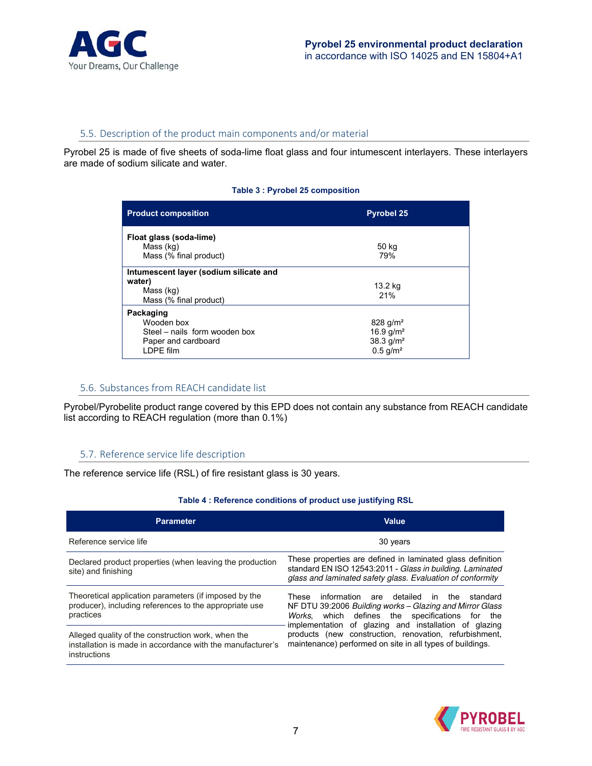

#### 5.5. Description of the product main components and/or material

Pyrobel 25 is made of five sheets of soda-lime float glass and four intumescent interlayers. These interlayers are made of sodium silicate and water.

#### **Table 3 : Pyrobel 25 composition**

| <b>Product composition</b>                                                                   | <b>Pyrobel 25</b>                                                                |
|----------------------------------------------------------------------------------------------|----------------------------------------------------------------------------------|
| Float glass (soda-lime)<br>Mass (kg)<br>Mass (% final product)                               | 50 kg<br>79%                                                                     |
| Intumescent layer (sodium silicate and<br>water)<br>Mass (kg)<br>Mass (% final product)      | 13.2 kg<br>21%                                                                   |
| Packaging<br>Wooden box<br>Steel - nails form wooden box<br>Paper and cardboard<br>LDPE film | 828 $g/m^2$<br>16.9 $q/m^2$<br>$38.3$ g/m <sup>2</sup><br>$0.5$ g/m <sup>2</sup> |

#### 5.6. Substances from REACH candidate list

Pyrobel/Pyrobelite product range covered by this EPD does not contain any substance from REACH candidate list according to REACH regulation (more than 0.1%)

#### 5.7. Reference service life description

The reference service life (RSL) of fire resistant glass is 30 years.

#### **Table 4 : Reference conditions of product use justifying RSL**

| <b>Parameter</b>                                                                                                                 | <b>Value</b>                                                                                                                                                                          |  |  |  |  |  |  |
|----------------------------------------------------------------------------------------------------------------------------------|---------------------------------------------------------------------------------------------------------------------------------------------------------------------------------------|--|--|--|--|--|--|
| Reference service life                                                                                                           | 30 years                                                                                                                                                                              |  |  |  |  |  |  |
| Declared product properties (when leaving the production<br>site) and finishing                                                  | These properties are defined in laminated glass definition<br>standard EN ISO 12543:2011 - Glass in building. Laminated<br>glass and laminated safety glass. Evaluation of conformity |  |  |  |  |  |  |
| Theoretical application parameters (if imposed by the<br>producer), including references to the appropriate use<br>practices     | information are detailed<br>in the standard<br>These<br>NF DTU 39:2006 Building works – Glazing and Mirror Glass<br>Works, which defines the specifications for the                   |  |  |  |  |  |  |
| Alleged quality of the construction work, when the<br>installation is made in accordance with the manufacturer's<br>instructions | implementation of glazing and installation of glazing<br>products (new construction, renovation, refurbishment,<br>maintenance) performed on site in all types of buildings.          |  |  |  |  |  |  |

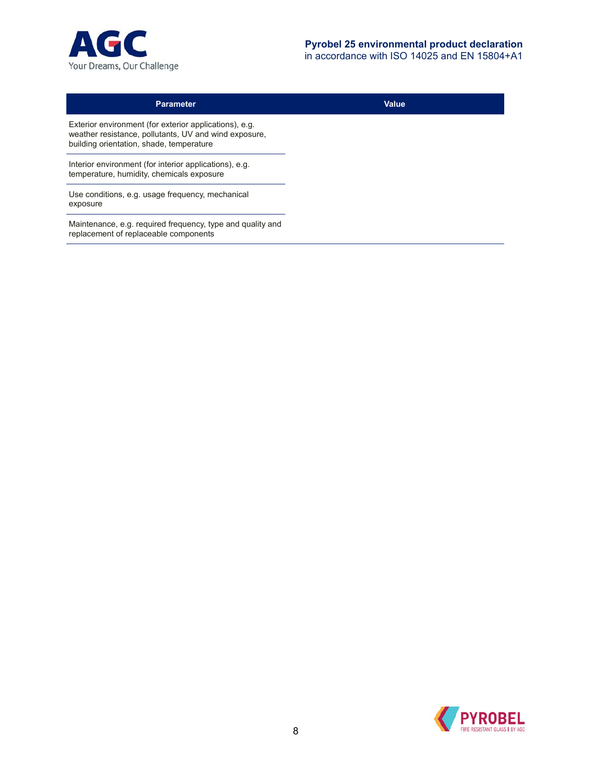

| <b>Parameter</b>                                                                                                                                            |
|-------------------------------------------------------------------------------------------------------------------------------------------------------------|
| Exterior environment (for exterior applications), e.g.<br>weather resistance, pollutants, UV and wind exposure,<br>building orientation, shade, temperature |
| Interior environment (for interior applications), e.g.<br>temperature, humidity, chemicals exposure                                                         |
| Use conditions, e.g. usage frequency, mechanical<br>exposure                                                                                                |
| Maintenance, e.g. required frequency, type and quality and<br>replacement of replaceable components                                                         |

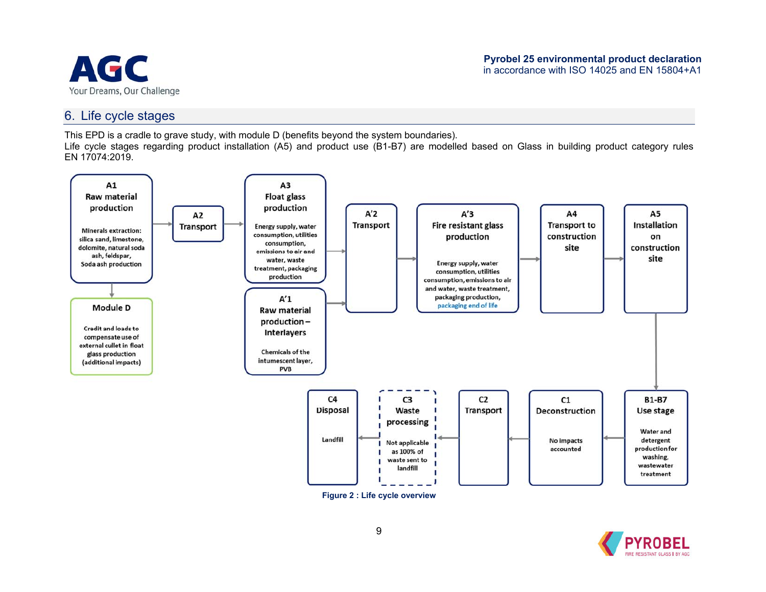

#### 6. Life cycle stages

This EPD is a cradle to grave study, with module D (benefits beyond the system boundaries).

Life cycle stages regarding product installation (A5) and product use (B1-B7) are modelled based on Glass in building product category rules EN 17074:2019.



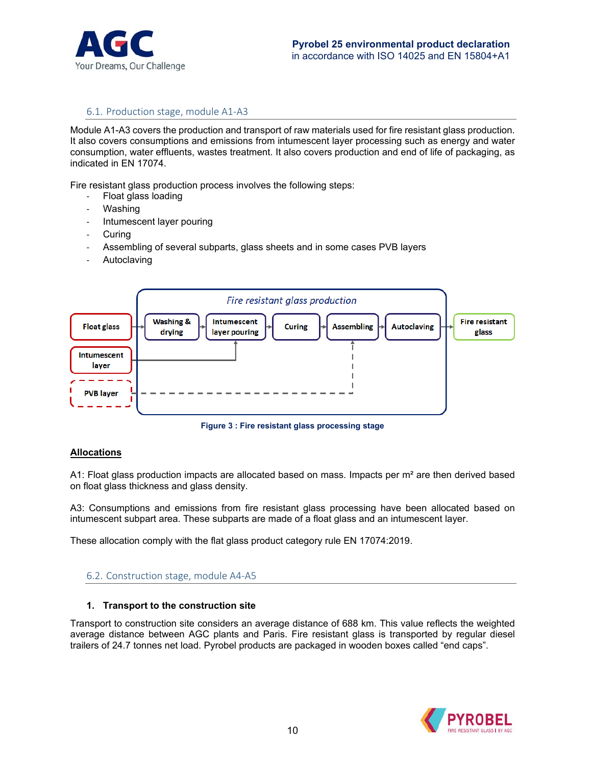

#### 6.1. Production stage, module A1‐A3

Module A1-A3 covers the production and transport of raw materials used for fire resistant glass production. It also covers consumptions and emissions from intumescent layer processing such as energy and water consumption, water effluents, wastes treatment. It also covers production and end of life of packaging, as indicated in EN 17074.

Fire resistant glass production process involves the following steps:

- ‐ Float glass loading
- ‐ Washing
- ‐ Intumescent layer pouring
- **Curing**
- ‐ Assembling of several subparts, glass sheets and in some cases PVB layers
- **Autoclaving**



**Figure 3 : Fire resistant glass processing stage** 

#### **Allocations**

A1: Float glass production impacts are allocated based on mass. Impacts per m<sup>2</sup> are then derived based on float glass thickness and glass density.

A3: Consumptions and emissions from fire resistant glass processing have been allocated based on intumescent subpart area. These subparts are made of a float glass and an intumescent layer.

These allocation comply with the flat glass product category rule EN 17074:2019.

#### 6.2. Construction stage, module A4‐A5

#### **1. Transport to the construction site**

Transport to construction site considers an average distance of 688 km. This value reflects the weighted average distance between AGC plants and Paris. Fire resistant glass is transported by regular diesel trailers of 24.7 tonnes net load. Pyrobel products are packaged in wooden boxes called "end caps".

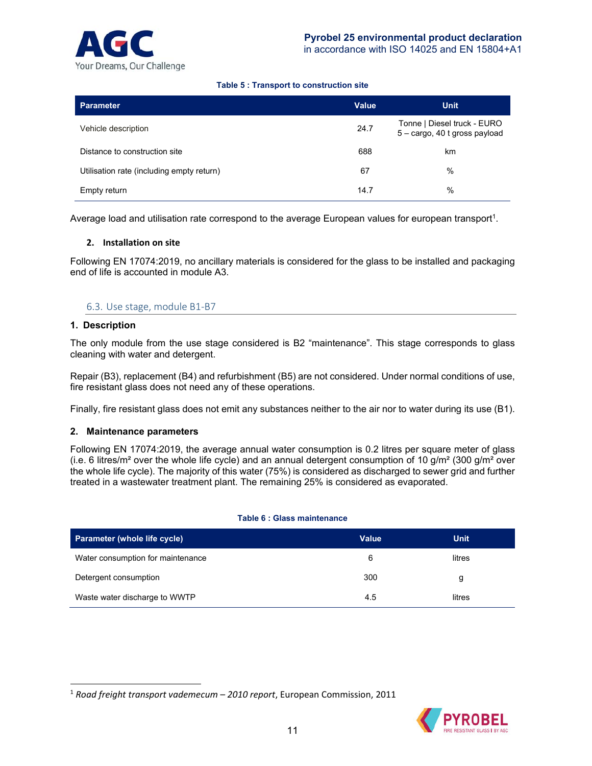

#### **Table 5 : Transport to construction site**

| Parameter                                 | <b>Value</b> | <b>Unit</b>                                                  |
|-------------------------------------------|--------------|--------------------------------------------------------------|
| Vehicle description                       | 24.7         | Tonne   Diesel truck - EURO<br>5 - cargo, 40 t gross payload |
| Distance to construction site             | 688          | km                                                           |
| Utilisation rate (including empty return) | 67           | %                                                            |
| Empty return                              | 14.7         | %                                                            |

Average load and utilisation rate correspond to the average European values for european transport<sup>1</sup>.

#### **2. Installation on site**

Following EN 17074:2019, no ancillary materials is considered for the glass to be installed and packaging end of life is accounted in module A3.

#### 6.3. Use stage, module B1‐B7

#### **1. Description**

 $\overline{a}$ 

The only module from the use stage considered is B2 "maintenance". This stage corresponds to glass cleaning with water and detergent.

Repair (B3), replacement (B4) and refurbishment (B5) are not considered. Under normal conditions of use, fire resistant glass does not need any of these operations.

Finally, fire resistant glass does not emit any substances neither to the air nor to water during its use (B1).

#### **2. Maintenance parameters**

Following EN 17074:2019, the average annual water consumption is 0.2 litres per square meter of glass (i.e. 6 litres/m<sup>2</sup> over the whole life cycle) and an annual detergent consumption of 10 g/m<sup>2</sup> (300 g/m<sup>2</sup> over the whole life cycle). The majority of this water (75%) is considered as discharged to sewer grid and further treated in a wastewater treatment plant. The remaining 25% is considered as evaporated.

#### **Table 6 : Glass maintenance**

| Parameter (whole life cycle)      | Value | <b>Unit</b> |
|-----------------------------------|-------|-------------|
| Water consumption for maintenance | 6     | litres      |
| Detergent consumption             | 300   | g           |
| Waste water discharge to WWTP     | 4.5   | litres      |

<sup>1</sup> *Road freight transport vademecum – 2010 report*, European Commission, 2011

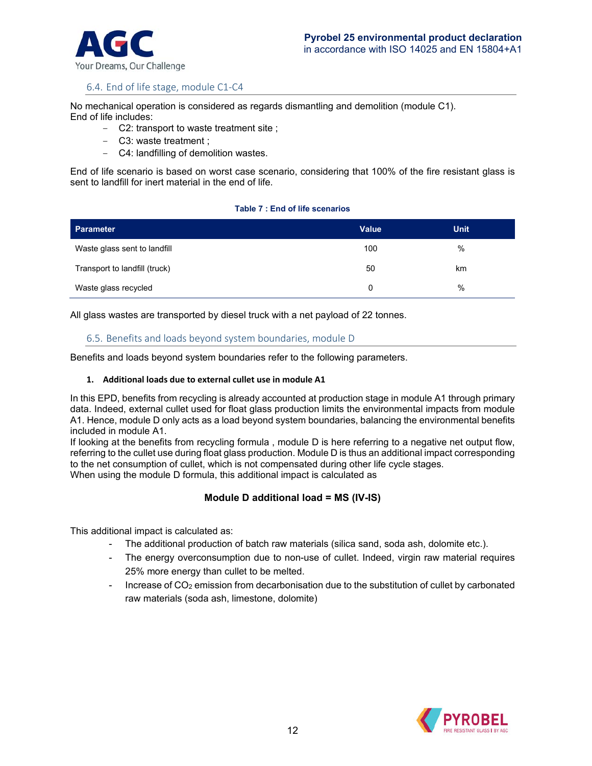

#### 6.4. End of life stage, module C1‐C4

No mechanical operation is considered as regards dismantling and demolition (module C1). End of life includes:

- C2: transport to waste treatment site ;
- C3: waste treatment ;
- C4: landfilling of demolition wastes.

End of life scenario is based on worst case scenario, considering that 100% of the fire resistant glass is sent to landfill for inert material in the end of life.

#### **Table 7 : End of life scenarios**

| Parameter                     | Value | <b>Unit</b> |
|-------------------------------|-------|-------------|
| Waste glass sent to landfill  | 100   | %           |
| Transport to landfill (truck) | 50    | km          |
| Waste glass recycled          | 0     | $\%$        |

All glass wastes are transported by diesel truck with a net payload of 22 tonnes.

#### 6.5. Benefits and loads beyond system boundaries, module D

Benefits and loads beyond system boundaries refer to the following parameters.

#### **1. Additional loads due to external cullet use in module A1**

In this EPD, benefits from recycling is already accounted at production stage in module A1 through primary data. Indeed, external cullet used for float glass production limits the environmental impacts from module A1. Hence, module D only acts as a load beyond system boundaries, balancing the environmental benefits included in module A1.

If looking at the benefits from recycling formula , module D is here referring to a negative net output flow, referring to the cullet use during float glass production. Module D is thus an additional impact corresponding to the net consumption of cullet, which is not compensated during other life cycle stages. When using the module D formula, this additional impact is calculated as

#### **Module D additional load = MS (IV-IS)**

This additional impact is calculated as:

- The additional production of batch raw materials (silica sand, soda ash, dolomite etc.).
- The energy overconsumption due to non-use of cullet. Indeed, virgin raw material requires 25% more energy than cullet to be melted.
- Increase of  $CO<sub>2</sub>$  emission from decarbonisation due to the substitution of cullet by carbonated raw materials (soda ash, limestone, dolomite)

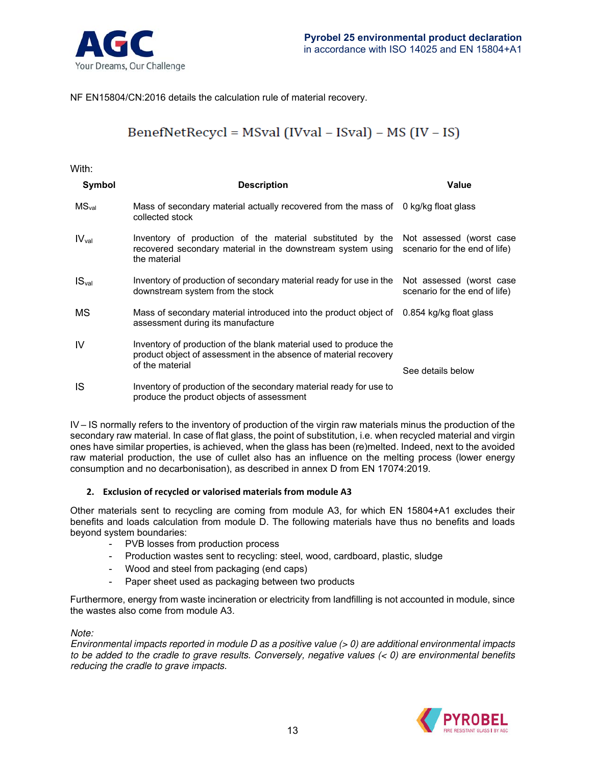

NF EN15804/CN:2016 details the calculation rule of material recovery.

## BenefNetRecycl = MSval (IVval - ISval) - MS (IV - IS)

#### With:

| Symbol            | <b>Description</b>                                                                                                                                       | <b>Value</b>                                              |
|-------------------|----------------------------------------------------------------------------------------------------------------------------------------------------------|-----------------------------------------------------------|
| MS <sub>val</sub> | Mass of secondary material actually recovered from the mass of<br>collected stock                                                                        | 0 kg/kg float glass                                       |
| IV <sub>val</sub> | Inventory of production of the material substituted by the<br>recovered secondary material in the downstream system using<br>the material                | Not assessed (worst case<br>scenario for the end of life) |
| IS <sub>val</sub> | Inventory of production of secondary material ready for use in the<br>downstream system from the stock                                                   | Not assessed (worst case<br>scenario for the end of life) |
| МS                | Mass of secondary material introduced into the product object of<br>assessment during its manufacture                                                    | 0.854 kg/kg float glass                                   |
| IV                | Inventory of production of the blank material used to produce the<br>product object of assessment in the absence of material recovery<br>of the material | See details below                                         |
| IS                | Inventory of production of the secondary material ready for use to<br>produce the product objects of assessment                                          |                                                           |

IV – IS normally refers to the inventory of production of the virgin raw materials minus the production of the secondary raw material. In case of flat glass, the point of substitution, i.e. when recycled material and virgin ones have similar properties, is achieved, when the glass has been (re)melted. Indeed, next to the avoided raw material production, the use of cullet also has an influence on the melting process (lower energy consumption and no decarbonisation), as described in annex D from EN 17074:2019.

#### **2. Exclusion of recycled or valorised materials from module A3**

Other materials sent to recycling are coming from module A3, for which EN 15804+A1 excludes their benefits and loads calculation from module D. The following materials have thus no benefits and loads beyond system boundaries:

- PVB losses from production process
- Production wastes sent to recycling: steel, wood, cardboard, plastic, sludge
- Wood and steel from packaging (end caps)
- Paper sheet used as packaging between two products

Furthermore, energy from waste incineration or electricity from landfilling is not accounted in module, since the wastes also come from module A3.

#### Note:

Environmental impacts reported in module D as a positive value (> 0) are additional environmental impacts to be added to the cradle to grave results. Conversely, negative values  $(0)$  are environmental benefits reducing the cradle to grave impacts.

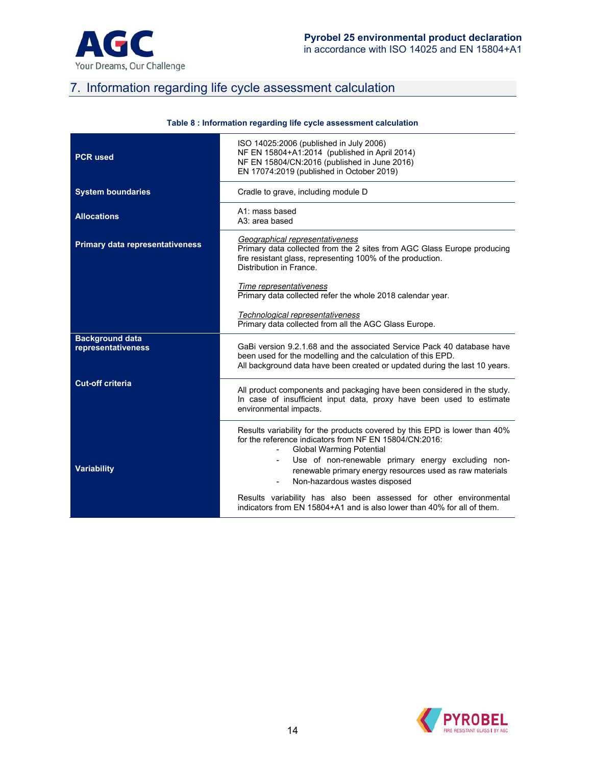

## 7. Information regarding life cycle assessment calculation

| Table 8 : information regarding life cycle assessment calculation |                                                                                                                                                                                                                                                                                                                                                                                    |  |  |  |  |  |  |  |
|-------------------------------------------------------------------|------------------------------------------------------------------------------------------------------------------------------------------------------------------------------------------------------------------------------------------------------------------------------------------------------------------------------------------------------------------------------------|--|--|--|--|--|--|--|
| <b>PCR used</b>                                                   | ISO 14025:2006 (published in July 2006)<br>NF EN 15804+A1:2014 (published in April 2014)<br>NF EN 15804/CN:2016 (published in June 2016)<br>EN 17074:2019 (published in October 2019)                                                                                                                                                                                              |  |  |  |  |  |  |  |
| <b>System boundaries</b>                                          | Cradle to grave, including module D                                                                                                                                                                                                                                                                                                                                                |  |  |  |  |  |  |  |
| <b>Allocations</b>                                                | A1: mass based<br>A3: area based                                                                                                                                                                                                                                                                                                                                                   |  |  |  |  |  |  |  |
| <b>Primary data representativeness</b>                            | Geographical representativeness<br>Primary data collected from the 2 sites from AGC Glass Europe producing<br>fire resistant glass, representing 100% of the production.<br>Distribution in France.                                                                                                                                                                                |  |  |  |  |  |  |  |
|                                                                   | Time representativeness<br>Primary data collected refer the whole 2018 calendar year.                                                                                                                                                                                                                                                                                              |  |  |  |  |  |  |  |
|                                                                   | Technological representativeness<br>Primary data collected from all the AGC Glass Europe.                                                                                                                                                                                                                                                                                          |  |  |  |  |  |  |  |
| <b>Background data</b><br>representativeness                      | GaBi version 9.2.1.68 and the associated Service Pack 40 database have<br>been used for the modelling and the calculation of this EPD.<br>All background data have been created or updated during the last 10 years.                                                                                                                                                               |  |  |  |  |  |  |  |
| <b>Cut-off criteria</b>                                           | All product components and packaging have been considered in the study.<br>In case of insufficient input data, proxy have been used to estimate<br>environmental impacts.                                                                                                                                                                                                          |  |  |  |  |  |  |  |
| <b>Variability</b>                                                | Results variability for the products covered by this EPD is lower than 40%<br>for the reference indicators from NF EN 15804/CN:2016:<br><b>Global Warming Potential</b><br>Use of non-renewable primary energy excluding non-<br>$\overline{\phantom{a}}$<br>renewable primary energy resources used as raw materials<br>Non-hazardous wastes disposed<br>$\overline{\phantom{a}}$ |  |  |  |  |  |  |  |
|                                                                   | Results variability has also been assessed for other environmental<br>indicators from EN 15804+A1 and is also lower than 40% for all of them.                                                                                                                                                                                                                                      |  |  |  |  |  |  |  |

#### **Table 8 : Information regarding life cycle assessment calculation**

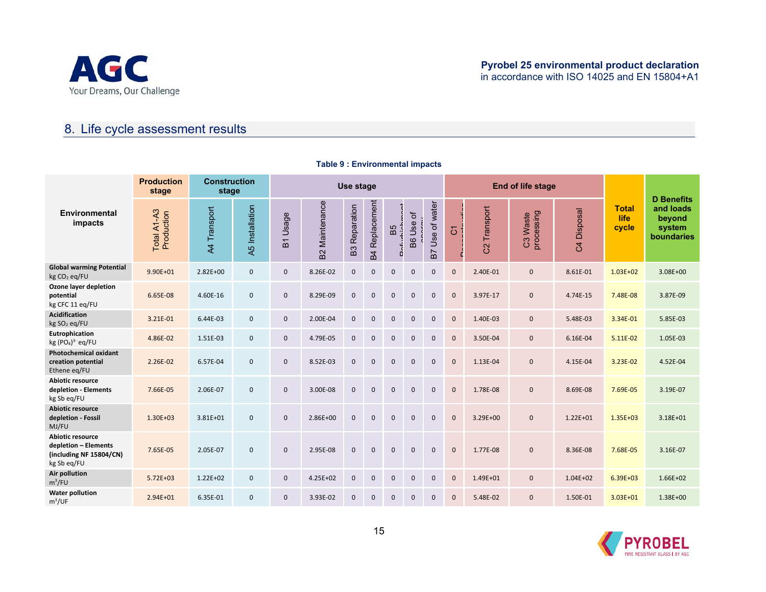

## 8. Life cycle assessment results

|                                                                                    | <b>Production</b><br>stage | <b>Construction</b><br>stage |                 | Use stage                                     |                               |                              |                               |              |                |                    |              |                  | End of life stage         |                            | <b>D</b> Benefits                    |                                             |
|------------------------------------------------------------------------------------|----------------------------|------------------------------|-----------------|-----------------------------------------------|-------------------------------|------------------------------|-------------------------------|--------------|----------------|--------------------|--------------|------------------|---------------------------|----------------------------|--------------------------------------|---------------------------------------------|
| Environmental<br>impacts                                                           | Total A1-A3<br>Production  | A4 Transport                 | A5 Installation | Usage<br>$\overline{\phantom{0}}$<br>$\omega$ | Maintenance<br>B <sub>2</sub> | Reparation<br>B <sub>3</sub> | Replacement<br>B <sub>4</sub> | B5           | đ<br>Use<br>B6 | Use of water<br>B7 | 5            | Transport<br>ပ္ပ | processing<br>Waste<br>පි | Disposal<br>$\overline{c}$ | <b>Total</b><br><b>life</b><br>cycle | and loads<br>beyond<br>system<br>boundaries |
| <b>Global warming Potential</b><br>kg CO <sub>2</sub> eq/FU                        | 9.90E+01                   | $2.82E+00$                   | $\mathbf{0}$    | $\mathbf{0}$                                  | 8.26E-02                      | $\mathbf{0}$                 | $\Omega$                      | $\Omega$     | $\mathbf 0$    | $\mathbf{0}$       | $\mathbf{0}$ | 2.40E-01         | $\mathbf 0$               | 8.61E-01                   | $1.03E + 02$                         | $3.08E + 00$                                |
| Ozone layer depletion<br>potential<br>kg CFC 11 eq/FU                              | 6.65E-08                   | 4.60E-16                     | $\mathbf{0}$    | 0                                             | 8.29E-09                      | $\mathbf{0}$                 | $\Omega$                      | $\Omega$     | $\Omega$       | $\mathbf{0}$       | $\mathbf{0}$ | 3.97E-17         | $\mathbf 0$               | 4.74E-15                   | 7.48E-08                             | 3.87E-09                                    |
| <b>Acidification</b><br>kg SO <sub>2</sub> eq/FU                                   | 3.21E-01                   | 6.44E-03                     | $\mathbf{0}$    | $\mathbf{0}$                                  | 2.00E-04                      | $\mathbf{0}$                 | $\mathbf{0}$                  | $\Omega$     | $\mathbf{0}$   | $\mathbf{0}$       | $\mathbf 0$  | 1.40E-03         | $\mathbf 0$               | 5.48E-03                   | 3.34E-01                             | 5.85E-03                                    |
| Eutrophication<br>kg $(PO4)3$ eq/FU                                                | 4.86E-02                   | 1.51E-03                     | $\mathbf{0}$    | $\mathbf{0}$                                  | 4.79E-05                      | $\mathbf{0}$                 | $\mathbf{0}$                  | $\Omega$     | $\mathbf{0}$   | $\mathbf{0}$       | $\mathbf{0}$ | 3.50E-04         | $\mathbf 0$               | 6.16E-04                   | 5.11E-02                             | 1.05E-03                                    |
| <b>Photochemical oxidant</b><br>creation potential<br>Ethene eg/FU                 | 2.26E-02                   | 6.57E-04                     | $\mathbf{0}$    | $\mathbf{0}$                                  | 8.52E-03                      | $\mathbf{0}$                 | $\Omega$                      | $\Omega$     | $\Omega$       | $\mathbf{0}$       | $\mathbf 0$  | 1.13E-04         | $\mathbf{0}$              | 4.15E-04                   | 3.23E-02                             | 4.52E-04                                    |
| <b>Abiotic resource</b><br>depletion - Elements<br>kg Sb eq/FU                     | 7.66E-05                   | 2.06E-07                     | $\mathbf{0}$    | $\mathbf{0}$                                  | 3.00E-08                      | $\mathbf 0$                  | $\Omega$                      | $\Omega$     | $\mathbf{0}$   | $\mathbf{0}$       | $\mathbf{0}$ | 1.78E-08         | $\mathbf{0}$              | 8.69E-08                   | 7.69E-05                             | 3.19E-07                                    |
| <b>Abiotic resource</b><br>depletion - Fossil<br>MJ/FU                             | $1.30E + 03$               | $3.81E + 01$                 | $\mathbf{0}$    | $\mathbf{0}$                                  | 2.86E+00                      | $\Omega$                     | $\Omega$                      | $\Omega$     | $\Omega$       | $\mathbf{0}$       | $\mathbf{0}$ | $3.29E + 00$     | $\mathbf 0$               | $1.22E + 01$               | $1.35E + 03$                         | $3.18E + 01$                                |
| Abiotic resource<br>depletion - Elements<br>(including NF 15804/CN)<br>kg Sb eq/FU | 7.65E-05                   | 2.05E-07                     | $\mathbf{0}$    | $\mathbf 0$                                   | 2.95E-08                      | $\mathbf{0}$                 | $\mathbf{0}$                  | $\mathbf{0}$ | $\mathbf 0$    | $\mathbf 0$        | $\mathbf 0$  | 1.77E-08         | $\mathbf{0}$              | 8.36E-08                   | 7.68E-05                             | 3.16E-07                                    |
| <b>Air pollution</b><br>$m^3$ /FU                                                  | $5.72E + 03$               | $1.22E + 02$                 | $\mathbf{0}$    | $\mathbf{0}$                                  | $4.25E + 02$                  | $\mathbf{0}$                 | $\mathbf{0}$                  | $\mathbf{0}$ | $\mathbf{0}$   | $\mathbf{0}$       | $\mathbf{0}$ | $1.49E + 01$     | $\mathbf{0}$              | $1.04E + 02$               | $6.39E + 03$                         | $1.66E + 02$                                |
| <b>Water pollution</b><br>m <sup>3</sup> /UF                                       | $2.94E + 01$               | 6.35E-01                     | $\mathbf{0}$    | $\mathbf{0}$                                  | 3.93E-02                      | $\mathbf{0}$                 | $\mathbf{0}$                  | $\Omega$     | $\mathbf 0$    | $\mathbf{0}$       | $\mathbf{0}$ | 5.48E-02         | $\mathbf{0}$              | 1.50E-01                   | $3.03E + 01$                         | $1.38E + 00$                                |

#### **Table 9 : Environmental impacts**

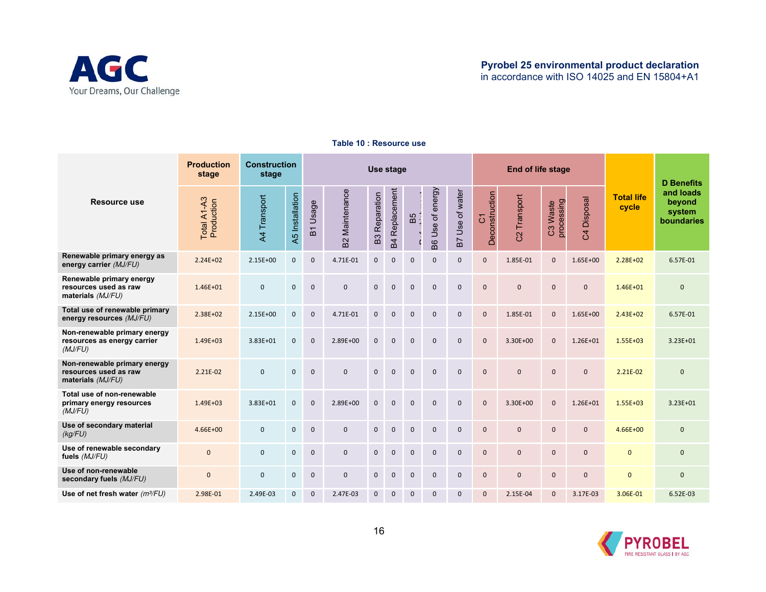

|                                                                            | <b>Production</b><br>stage | <b>Construction</b><br>stage |                 | Use stage    |                               |                     |                               |              |                     |                 |                     | <b>End of life stage</b>           |                        |                            | <b>D</b> Benefits          |                                             |
|----------------------------------------------------------------------------|----------------------------|------------------------------|-----------------|--------------|-------------------------------|---------------------|-------------------------------|--------------|---------------------|-----------------|---------------------|------------------------------------|------------------------|----------------------------|----------------------------|---------------------------------------------|
| <b>Resource use</b>                                                        | Total A1-A3<br>Production  | A4 Transport                 | A5 Installation | B1 Usage     | Maintenance<br>B <sup>2</sup> | Reparation<br>B3    | Replacement<br>B <sub>4</sub> | B5           | Use of energy<br>B6 | B7 Use of water | Deconstruction<br>5 | Transport<br>$\overline{\text{c}}$ | processing<br>C3 Waste | Disposal<br>$\overline{c}$ | <b>Total life</b><br>cycle | and loads<br>beyond<br>system<br>boundaries |
| Renewable primary energy as<br>energy carrier (MJ/FU)                      | $2.24E + 02$               | $2.15E + 00$                 | $\mathbf{0}$    | $\mathbf{0}$ | 4.71E-01                      | $\mathbf 0$         | $\Omega$                      | $\Omega$     | $\mathbf 0$         | $\mathbf{0}$    | $\overline{0}$      | 1.85E-01                           | $\mathbf{0}$           | $1.65E + 00$               | $2.28E + 02$               | 6.57E-01                                    |
| Renewable primary energy<br>resources used as raw<br>materials (MJ/FU)     | $1.46E + 01$               | $\mathbf 0$                  | $\mathbf{0}$    | $\Omega$     | $\mathbf{0}$                  | $\mathbf 0$         | $\mathbf{0}$                  | $\mathbf{0}$ | $\mathbf{0}$        | $\mathbf{0}$    | $\overline{0}$      | $\mathbf{0}$                       | $\mathbf{0}$           | $\mathbf{0}$               | $1.46E + 01$               | $\mathbf{0}$                                |
| Total use of renewable primary<br>energy resources (MJ/FU)                 | 2.38E+02                   | $2.15E+00$                   | $\mathbf 0$     | $\mathbf{0}$ | 4.71E-01                      | $\mathbf{0}$        | $\pmb{0}$                     | $\mathbf{0}$ | $\mathbf 0$         | $\mathsf 0$     | 0                   | 1.85E-01                           | $\mathbf{0}$           | $1.65E + 00$               | $2.43E+02$                 | 6.57E-01                                    |
| Non-renewable primary energy<br>resources as energy carrier<br>(MJ/FU)     | $1.49E + 03$               | $3.83E + 01$                 | $\mathbf{0}$    | $\mathbf{0}$ | 2.89E+00                      | $\mathbf 0$         | $\mathbf{0}$                  | $\mathbf{0}$ | $\mathbf{0}$        | $\mathbf{0}$    | $\overline{0}$      | 3.30E+00                           | $\mathbf{0}$           | $1.26E + 01$               | $1.55E + 03$               | $3.23E + 01$                                |
| Non-renewable primary energy<br>resources used as raw<br>materials (MJ/FU) | 2.21E-02                   | $\mathbf 0$                  | $\mathbf{0}$    | $\mathbf{0}$ | $\mathbf{0}$                  | $\mathbf 0$         | $\mathbf 0$                   | $\mathbf{0}$ | $\mathbf{0}$        | $\mathbf{0}$    | $\Omega$            | $\mathbf{0}$                       | $\mathbf{0}$           | $\mathbf{0}$               | 2.21E-02                   | $\mathbf{0}$                                |
| Total use of non-renewable<br>primary energy resources<br>(MJ/FU)          | $1.49E + 03$               | 3.83E+01                     | $\mathbf{0}$    | $\mathbf 0$  | 2.89E+00                      | $\mathsf{O}\xspace$ | $\mathbf 0$                   | $\mathbf 0$  | $\mathbf 0$         | $\mathbf{0}$    | $\overline{0}$      | 3.30E+00                           | $\mathbf 0$            | $1.26E + 01$               | $1.55E + 03$               | $3.23E + 01$                                |
| Use of secondary material<br>(kg/FU)                                       | $4.66E + 00$               | $\mathbf{0}$                 | $\mathbf{0}$    | $\Omega$     | $\mathbf{0}$                  | $\mathbf{0}$        | $\mathbf{0}$                  | $\Omega$     | $\mathbf{0}$        | $\mathbf{0}$    | $\mathbf{0}$        | $\mathbf{0}$                       | $\mathbf{0}$           | $\mathbf{0}$               | $4.66E + 00$               | $\mathbf{0}$                                |
| Use of renewable secondary<br>fuels (MJ/FU)                                | $\mathbf{0}$               | $\mathbf{0}$                 | $\mathbf{0}$    | $\mathbf{0}$ | $\mathbf{0}$                  | $\mathbf{0}$        | $\mathbf{0}$                  | $\mathbf 0$  | $\mathbf{0}$        | $\mathbf{0}$    | $\overline{0}$      | $\mathbf{0}$                       | $\mathbf{0}$           | $\mathbf{0}$               | $\mathbf{0}$               | $\mathbf{0}$                                |
| Use of non-renewable<br>secondary fuels (MJ/FU)                            | $\mathbf{0}$               | $\mathsf 0$                  | $\mathbf 0$     | $\mathbf{0}$ | $\mathbf 0$                   | $\mathbf 0$         | $\mathbf{0}$                  | $\mathbf{0}$ | $\mathbf 0$         | $\mathbf 0$     | 0                   | $\mathbf 0$                        | $\mathbf 0$            | $\mathbf{0}$               | $\mathbf 0$                | $\mathbf{0}$                                |
| Use of net fresh water $(m\frac{3}{FU})$                                   | 2.98E-01                   | 2.49E-03                     | 0               | $\mathbf{0}$ | 2.47E-03                      | $\mathbf{0}$        | $\Omega$                      | $\Omega$     | $\mathbf 0$         | $\Omega$        | $\mathbf{0}$        | 2.15E-04                           | $\Omega$               | 3.17E-03                   | 3.06E-01                   | 6.52E-03                                    |

#### **Table 10 : Resource use**

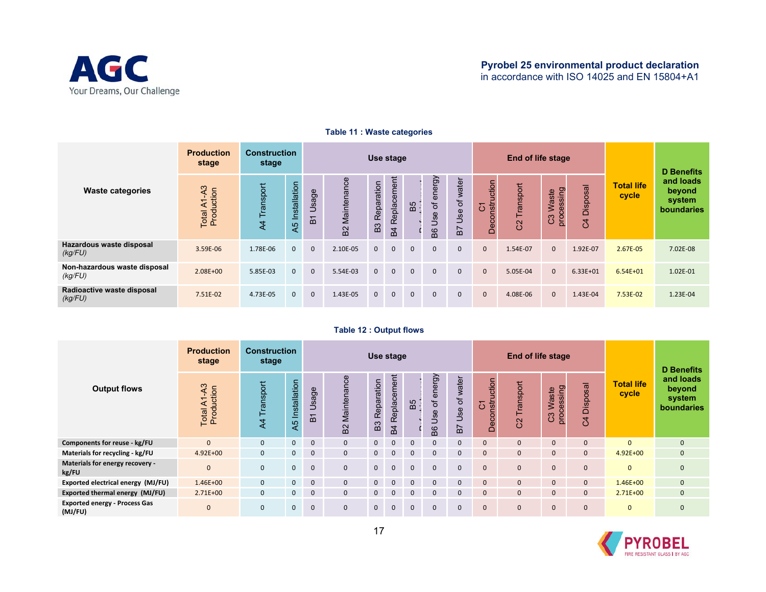

|                                         | <b>Production</b><br>stage | <b>Construction</b><br>stage |                 | Use stage    |                   |                      |                        |              |                                         |                    |                                                           | <b>End of life stage</b> |                                            |                            | <b>D</b> Benefits          |                                                    |
|-----------------------------------------|----------------------------|------------------------------|-----------------|--------------|-------------------|----------------------|------------------------|--------------|-----------------------------------------|--------------------|-----------------------------------------------------------|--------------------------|--------------------------------------------|----------------------------|----------------------------|----------------------------------------------------|
| <b>Waste categories</b>                 | Total A1-A3<br>Production  | Transport<br>$\overline{4}$  | A5 Installation | Usage<br>51  | Maintenance<br>B2 | <b>B3</b> Reparation | Replacement<br>4<br>۵Ò | B5           | energy<br>ზ $\overline{a}$<br>Use<br>BG | Use of water<br>B7 | uction<br>Deconstr<br>$\overline{\phantom{0}}$<br>$\circ$ | Transport<br>8           | ssing<br>Waste<br>$\omega$<br>ပိ<br>O<br>ā | Disposal<br>$\overline{c}$ | <b>Total life</b><br>cycle | and loads<br>beyond<br>system<br><b>boundaries</b> |
| Hazardous waste disposal<br>(kg/FU)     | 3.59E-06                   | 1.78E-06                     | $\Omega$        | $\mathbf{0}$ | 2.10E-05          | $\mathbf{0}$         | $\mathbf{0}$           | $\mathbf{0}$ | $\mathbf{0}$                            | $\mathbf{0}$       | $\mathbf{0}$                                              | 1.54E-07                 | $\mathbf{0}$                               | 1.92E-07                   | 2.67E-05                   | 7.02E-08                                           |
| Non-hazardous waste disposal<br>(kg/FU) | 2.08E+00                   | 5.85E-03                     | $\Omega$        | $\mathbf{0}$ | 5.54E-03          | $\mathbf{0}$         | $\mathbf{0}$           | $\mathbf{0}$ | $\Omega$                                | $\mathbf{0}$       | $\mathbf{0}$                                              | 5.05E-04                 | $\Omega$                                   | $6.33E + 01$               | $6.54E + 01$               | 1.02E-01                                           |
| Radioactive waste disposal<br>(kg/FU)   | 7.51E-02                   | 4.73E-05                     | $\Omega$        | $\mathbf{0}$ | 1.43E-05          | $\mathbf{0}$         | $\mathbf{0}$           | $\mathbf{0}$ | $\mathbf{0}$                            | $\mathbf{0}$       | $\mathbf{0}$                                              | 4.08E-06                 | $\Omega$                                   | 1.43E-04                   | 7.53E-02                   | 1.23E-04                                           |

#### **Table 11 : Waste categories**

#### **Table 12 : Output flows**

|                                                 | <b>Production</b><br>stage                      | <b>Construction</b><br>stage |                 | Use stage    |                                       |                              |                               |              |                                 |                           |                                | End of life stage |                                         |                            | D Benefits                 |                                             |
|-------------------------------------------------|-------------------------------------------------|------------------------------|-----------------|--------------|---------------------------------------|------------------------------|-------------------------------|--------------|---------------------------------|---------------------------|--------------------------------|-------------------|-----------------------------------------|----------------------------|----------------------------|---------------------------------------------|
| <b>Output flows</b>                             | ო<br>$\square$<br>⋖<br>Total A1-A<br>Production | Transpor<br>$\overline{4}$   | A5 Installation | Usage<br>61  | Maintenance<br>$\sim$<br>$\mathbf{m}$ | Reparation<br>B <sub>3</sub> | Replacement<br>$\overline{4}$ | B5           | energy<br>đ<br><b>Jse</b><br>8g | Use of water<br><b>B7</b> | uction<br>nstr<br>δ<br>ē<br>ě, | Transport<br>8    | ssing<br><b>Waste</b><br>Ö,<br>ී<br>pro | Disposal<br>$\overline{5}$ | <b>Total life</b><br>cycle | and loads<br>beyond<br>system<br>boundaries |
| Components for reuse - kg/FU                    | $\Omega$                                        | $\mathbf{0}$                 | $\mathbf{0}$    | $\Omega$     | $\Omega$                              | $\mathbf{0}$                 | $\Omega$                      | $\Omega$     | $\Omega$                        | 0                         |                                | $\Omega$          | $\mathbf{0}$                            | $\mathbf{0}$               | $\Omega$                   | $\mathbf{0}$                                |
| Materials for recycling - kg/FU                 | $4.92E + 00$                                    | $\mathbf{0}$                 | $\mathbf{0}$    | $\mathbf{0}$ | $\Omega$                              | $\mathbf{0}$                 | $\mathbf{0}$                  | $\mathbf{0}$ | $\Omega$                        | 0                         | $\Omega$                       | $\Omega$          | $\mathbf{0}$                            | $\mathbf{0}$               | $4.92E + 00$               | $\mathbf{0}$                                |
| Materials for energy recovery -<br>kg/FU        | $\mathbf{0}$                                    | $\mathbf{0}$                 | 0               | $\mathbf{0}$ | $\Omega$                              | $\mathbf{0}$                 | $\mathbf{0}$                  | $\mathbf{0}$ | $\mathbf{0}$                    | 0                         | $\Omega$                       | $\Omega$          | $\mathbf{0}$                            | 0                          | $\mathbf{0}$               | $\mathbf 0$                                 |
| Exported electrical energy (MJ/FU)              | $1.46E + 00$                                    | $\mathbf{0}$                 | $\mathbf{0}$    | $\mathbf{0}$ | $\mathbf{0}$                          | $\mathbf{0}$                 | $\mathbf{0}$                  | $\mathbf{0}$ | $\mathbf{0}$                    | $\mathbf{0}$              | $\Omega$                       | $\mathbf{0}$      | $\mathbf{0}$                            | $\mathbf{0}$               | $1.46E + 00$               | $\mathbf{0}$                                |
| Exported thermal energy (MJ/FU)                 | $2.71E+00$                                      | $\mathbf{0}$                 | 0               | $\mathbf{0}$ | $\mathbf{0}$                          | $\mathbf{0}$                 | $\mathbf{0}$                  | $\mathbf{0}$ | $\Omega$                        | 0                         | $\Omega$                       | $\Omega$          | $\mathbf{0}$                            | $\mathbf{0}$               | $2.71E+00$                 | $\mathbf{0}$                                |
| <b>Exported energy - Process Gas</b><br>(MJ/FU) | $\mathbf{0}$                                    | $\mathbf{0}$                 | 0               | $\mathbf{0}$ | $\Omega$                              | $\mathbf{0}$                 | $\mathbf{0}$                  | $\mathbf{0}$ | $\Omega$                        | $\mathbf{0}$              | $\Omega$                       | $\Omega$          | $\mathbf{0}$                            | $\mathbf{0}$               | $\mathbf{0}$               | $\mathbf{0}$                                |

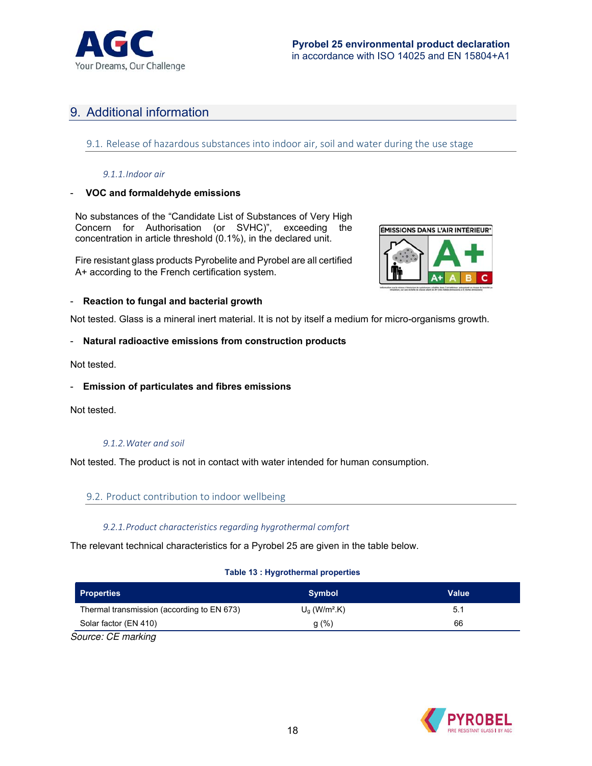![](_page_17_Picture_0.jpeg)

## 9. Additional information

9.1. Release of hazardous substances into indoor air, soil and water during the use stage

#### *9.1.1.Indoor air*

#### - **VOC and formaldehyde emissions**

No substances of the "Candidate List of Substances of Very High Concern for Authorisation (or SVHC)", exceeding the concentration in article threshold (0.1%), in the declared unit.

Fire resistant glass products Pyrobelite and Pyrobel are all certified A+ according to the French certification system.

![](_page_17_Picture_8.jpeg)

#### - **Reaction to fungal and bacterial growth**

Not tested. Glass is a mineral inert material. It is not by itself a medium for micro-organisms growth.

#### - **Natural radioactive emissions from construction products**

Not tested.

#### - **Emission of particulates and fibres emissions**

Not tested.

#### *9.1.2.Water and soil*

Not tested. The product is not in contact with water intended for human consumption.

#### 9.2. Product contribution to indoor wellbeing

#### *9.2.1.Product characteristics regarding hygrothermal comfort*

The relevant technical characteristics for a Pyrobel 25 are given in the table below.

#### **Table 13 : Hygrothermal properties**

| <b>Properties</b>                          | <b>Symbol</b>                      | Value |
|--------------------------------------------|------------------------------------|-------|
| Thermal transmission (according to EN 673) | $U_{\alpha}$ (W/m <sup>2</sup> .K) | 5.1   |
| Solar factor (EN 410)                      | q(%)                               | 66    |
| $C_{QUIOM} \cap E$ marking                 |                                    |       |

Source: CE marking

![](_page_17_Picture_23.jpeg)